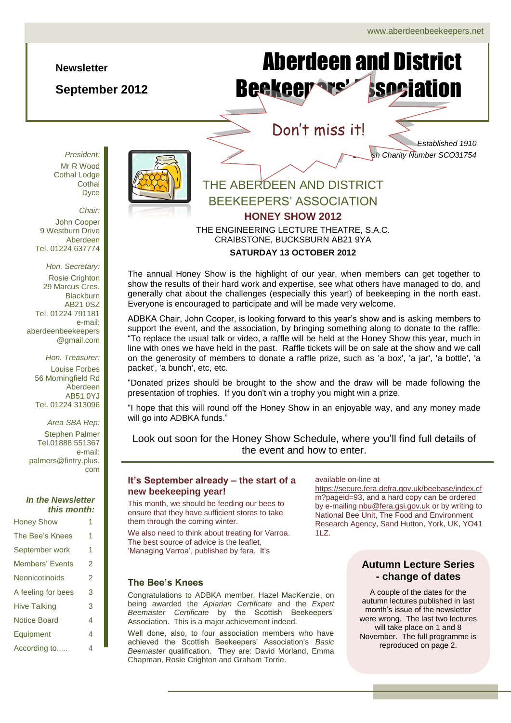#### **Newsletter**

**September 2012**

Aberdeen and District Beekeer are association

## Don't miss it!

*Established 1910 Scottish Charity Number SCO31754*

*President:* Mr R Wood Cothal Lodge **Cothal** Dyce

*Chair:*

John Cooper 9 Westburn Drive Aberdeen Tel. 01224 637774

*Hon. Secretary:* Rosie Crighton 29 Marcus Cres. **Blackburn** AB21 0SZ Tel. 01224 791181 e-mail: aberdeenbeekeepers @gmail.com

> *Hon. Treasurer:* Louise Forbes 56 Morningfield Rd Aberdeen AB51 0YJ Tel. 01224 313096

*Area SBA Rep:* Stephen Palmer Tel.01888 551367 e-mail: palmers@fintry.plus. com

#### *In the Newsletter this month:*

| <b>Honey Show</b>   | 1 |
|---------------------|---|
| The Bee's Knees     | 1 |
| September work      | 1 |
| Members' Events     | 2 |
| Neonicotinoids      | 2 |
| A feeling for bees  | 3 |
| <b>Hive Talking</b> | 3 |
| <b>Notice Board</b> | 4 |
| Equipment           | 4 |
| According to        | 4 |



## THE ABERDEEN AND DISTRICT BEEKEEPERS' ASSOCIATION **HONEY SHOW 2012** THE ENGINEERING LECTURE THEATRE, S.A.C. CRAIBSTONE, BUCKSBURN AB21 9YA

#### **SATURDAY 13 OCTOBER 2012**

The annual Honey Show is the highlight of our year, when members can get together to show the results of their hard work and expertise, see what others have managed to do, and generally chat about the challenges (especially this year!) of beekeeping in the north east. Everyone is encouraged to participate and will be made very welcome.

ADBKA Chair, John Cooper, is looking forward to this year's show and is asking members to support the event, and the association, by bringing something along to donate to the raffle: "To replace the usual talk or video, a raffle will be held at the Honey Show this year, much in line with ones we have held in the past. Raffle tickets will be on sale at the show and we call on the generosity of members to donate a raffle prize, such as 'a box', 'a jar', 'a bottle', 'a packet', 'a bunch', etc, etc.

"Donated prizes should be brought to the show and the draw will be made following the presentation of trophies. If you don't win a trophy you might win a prize.

"I hope that this will round off the Honey Show in an enjoyable way, and any money made will go into ADBKA funds."

Look out soon for the Honey Show Schedule, where you'll find full details of the event and how to enter.

#### **It's September already – the start of a new beekeeping year!**

This month, we should be feeding our bees to ensure that they have sufficient stores to take them through the coming winter.

We also need to think about treating for Varroa. The best source of advice is the leaflet, 'Managing Varroa', published by fera. It's

#### **The Bee's Knees**

Congratulations to ADBKA member, Hazel MacKenzie, on being awarded the *Apiarian Certificate* and the *Expert Beemaster Certificate* by the Scottish Beekeepers' Association. This is a major achievement indeed.

Well done, also, to four association members who have achieved the Scottish Beekeepers' Association's *Basic Beemaster* qualification. They are: David Morland, Emma Chapman, Rosie Crighton and Graham Torrie.

#### available on-line at

[https://secure.fera.defra.gov.uk/beebase/index.cf](https://secure.fera.defra.gov.uk/beebase/index.cfm?pageid=93) [m?pageid=93,](https://secure.fera.defra.gov.uk/beebase/index.cfm?pageid=93) and a hard copy can be ordered by e-mailing [nbu@fera.gsi.gov.uk](mailto:nbu@fera.gsi.gov.uk) or by writing to National Bee Unit, The Food and Environment Research Agency, Sand Hutton, York, UK, YO41 1LZ.

#### **Autumn Lecture Series - change of dates**

A couple of the dates for the autumn lectures published in last month's issue of the newsletter were wrong. The last two lectures will take place on 1 and 8 November. The full programme is reproduced on page 2.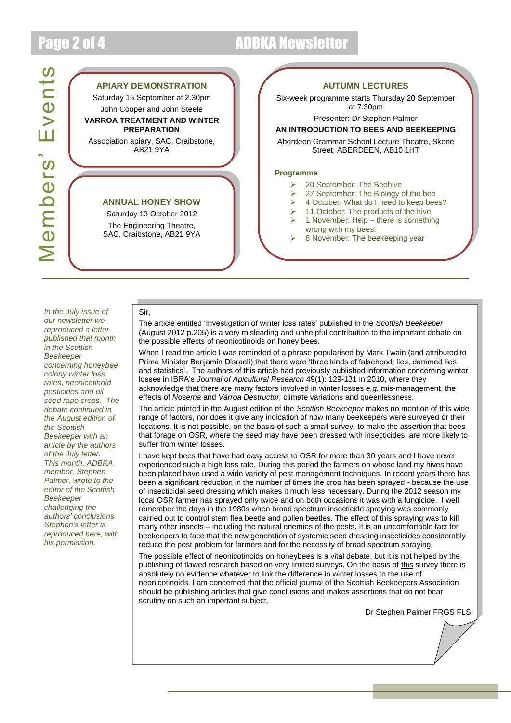# Page 2 of 4 ADBKA Newsletter

### **APIARY DEMONSTRATION**

Saturday 15 September at 2.30pm John Cooper and John Steele **VARROA TREATMENT AND WINTER** 

**PREPARATION** Association apiary, SAC, Craibstone,

AB21 9YA

#### **ANNUAL HONEY SHOW**

Saturday 13 October 2012 The Engineering Theatre, SAC, Craibstone, AB21 9YA

Sir,

#### **AUTUMN LECTURES**

Six-week programme starts Thursday 20 September at 7.30pm

Presenter: Dr Stephen Palmer

#### **AN INTRODUCTION TO BEES AND BEEKEEPING**

Aberdeen Grammar School Lecture Theatre, Skene Street, ABERDEEN, AB10 1HT

#### **Programme**

- 20 September: The Beehive
- $\geq$  27 September: The Biology of the bee
- 4 October: What do I need to keep bees?
- $\geq$  11 October: The products of the hive
- $\geq 1$  November: Help there is something wrong with my bees!
- 8 November: The beekeeping year

*In the July issue of our newsletter we reproduced a letter published that month in the Scottish Beekeeper concerning honeybee colony winter loss rates, neonicotinoid pesticides and oil seed rape crops. The debate continued in the August edition of the Scottish Beekeeper with an article by the authors of the July letter. This month, ADBKA member, Stephen Palmer, wrote to the editor of the Scottish Beekeeper challenging the authors' conclusions. Stephen's letter is reproduced here, with his permission.*

The article entitled 'Investigation of winter loss rates' published in the *Scottish Beekeeper* (August 2012 p.205) is a very misleading and unhelpful contribution to the important debate on the possible effects of neonicotinoids on honey bees.

When I read the article I was reminded of a phrase popularised by Mark Twain (and attributed to Prime Minister Benjamin Disraeli) that there were 'three kinds of falsehood: lies, dammed lies and statistics'. The authors of this article had previously published information concerning winter losses in IBRA's *Journal of Apicultural Research* 49(1): 129-131 in 2010, where they acknowledge that there are many factors involved in winter losses *e.g.* mis-management, the effects of *Nosema* and *Varroa Destructor,* climate variations and queenlessness.

The article printed in the August edition of the *Scottish Beekeeper* makes no mention of this wide range of factors, nor does it give any indication of how many beekeepers were surveyed or their locations. It is not possible, on the basis of such a small survey, to make the assertion that bees that forage on OSR, where the seed may have been dressed with insecticides, are more likely to suffer from winter losses.

I have kept bees that have had easy access to OSR for more than 30 years and I have never experienced such a high loss rate. During this period the farmers on whose land my hives have been placed have used a wide variety of pest management techniques. In recent years there has been a significant reduction in the number of times the crop has been sprayed - because the use of insecticidal seed dressing which makes it much less necessary. During the 2012 season my local OSR farmer has sprayed only twice and on both occasions it was with a fungicide. I well remember the days in the 1980s when broad spectrum insecticide spraying was commonly carried out to control stem flea beetle and pollen beetles. The effect of this spraying was to kill many other insects – including the natural enemies of the pests. It is an uncomfortable fact for beekeepers to face that the new generation of systemic seed dressing insecticides considerably reduce the pest problem for farmers and for the necessity of broad spectrum spraying.

The possible effect of neonicotinoids on honeybees is a vital debate, but it is not helped by the publishing of flawed research based on very limited surveys. On the basis of this survey there is absolutely no evidence whatever to link the difference in winter losses to the use of neonicotinoids. I am concerned that the official journal of the Scottish Beekeepers Association should be publishing articles that give conclusions and makes assertions that do not bear scrutiny on such an important subject.

Dr Stephen Palmer FRGS FLS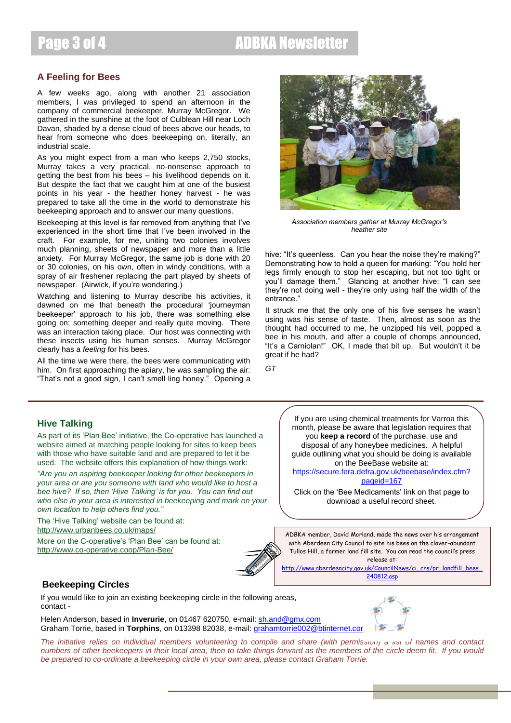#### **A Feeling for Bees**

A few weeks ago, along with another 21 association members, I was privileged to spend an afternoon in the company of commercial beekeeper, Murray McGregor. We gathered in the sunshine at the foot of Culblean Hill near Loch Davan, shaded by a dense cloud of bees above our heads, to hear from someone who does beekeeping on, literally, an industrial scale.

As you might expect from a man who keeps 2,750 stocks, Murray takes a very practical, no-nonsense approach to getting the best from his bees – his livelihood depends on it. But despite the fact that we caught him at one of the busiest points in his year - the heather honey harvest - he was prepared to take all the time in the world to demonstrate his beekeeping approach and to answer our many questions.

Beekeeping at this level is far removed from anything that I've experienced in the short time that I've been involved in the craft. For example, for me, uniting two colonies involves much planning, sheets of newspaper and more than a little anxiety. For Murray McGregor, the same job is done with 20 or 30 colonies, on his own, often in windy conditions, with a spray of air freshener replacing the part played by sheets of newspaper. (Airwick, if you're wondering.)

Watching and listening to Murray describe his activities, it dawned on me that beneath the procedural 'journeyman beekeeper' approach to his job, there was something else going on; something deeper and really quite moving. There was an interaction taking place. Our host was connecting with these insects using his human senses. Murray McGregor clearly has a *feeling* for his bees.

All the time we were there, the bees were communicating with him. On first approaching the apiary, he was sampling the air: "That's not a good sign, I can't smell ling honey." Opening a



*Association members gather at Murray McGregor's heather site*

hive: "It's queenless. Can you hear the noise they're making?" Demonstrating how to hold a queen for marking: "You hold her legs firmly enough to stop her escaping, but not too tight or you'll damage them." Glancing at another hive: "I can see they're not doing well - they're only using half the width of the entrance.'

It struck me that the only one of his five senses he wasn't using was his sense of taste. Then, almost as soon as the thought had occurred to me, he unzipped his veil, popped a bee in his mouth, and after a couple of chomps announced, "It's a Carniolan!" OK, I made that bit up. But wouldn't it be great if he had?

*GT*

#### **Hive Talking**

As part of its 'Plan Bee' initiative, the Co-operative has launched a website aimed at matching people looking for sites to keep bees with those who have suitable land and are prepared to let it be used. The website offers this explanation of how things work:

*"Are you an aspiring beekeeper looking for other beekeepers in your area or are you someone with land who would like to host a bee hive? If so, then 'Hive Talking' is for you. You can find out who else in your area is interested in beekeeping and mark on your own location to help others find you."*

The 'Hive Talking' website can be found at: <http://www.urbanbees.co.uk/maps/>

More on the C-operative's 'Plan Bee' can be found at: <http://www.co-operative.coop/Plan-Bee/>



If you are using chemical treatments for Varroa this month, please be aware that legislation requires that you **keep a record** of the purchase, use and disposal of any honeybee medicines. A helpful guide outlining what you should be doing is available on the BeeBase website at:

[https://secure.fera.defra.gov.uk/beebase/index.cfm?](https://secure.fera.defra.gov.uk/beebase/index.cfm?pageid=167) [pageid=167](https://secure.fera.defra.gov.uk/beebase/index.cfm?pageid=167)

Click on the 'Bee Medicaments' link on that page to download a useful record sheet.

ADBKA member, David Morland, made the news over his arrangement with Aberdeen City Council to site his bees on the clover-abundant Tullos Hill, a former land fill site. You can read the council's press release at:

[http://www.aberdeencity.gov.uk/CouncilNews/ci\\_cns/pr\\_landfill\\_bees\\_](http://www.aberdeencity.gov.uk/CouncilNews/ci_cns/pr_landfill_bees_240812.asp) [240812.asp](http://www.aberdeencity.gov.uk/CouncilNews/ci_cns/pr_landfill_bees_240812.asp)

#### **Beekeeping Circles**

If you would like to join an existing beekeeping circle in the following areas, contact -

Helen Anderson, based in **Inverurie**, on 01467 620750, e-mail: [sh.and@gmx.com](mailto:sh.and@gmx.com) Graham Torrie, based in **Torphins**, on 013398 82038, e-mail[: grahamtorrie002@btinternet.com](mailto:grahamtorrie002@btinternet.com)

*The initiative relies on individual members volunteering to compile and share (with permission) a list of names and contact numbers of other beekeepers in their local area, then to take things forward as the members of the circle deem fit. If you would be prepared to co-ordinate a beekeeping circle in your own area, please contact Graham Torrie.*